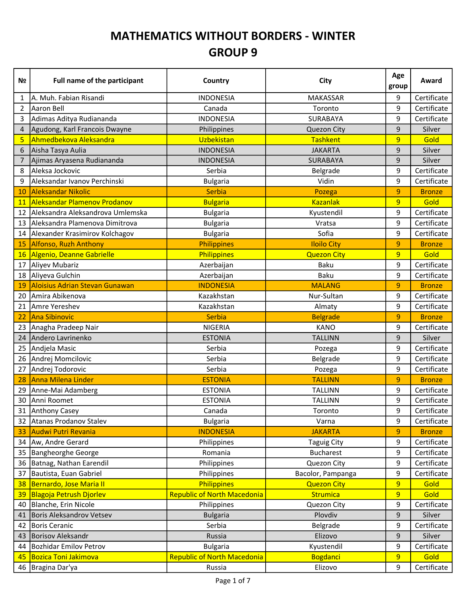## MATHEMATICS WITHOUT BORDERS - WINTER GROUP 9

| Nº        | <b>Full name of the participant</b>   | Country                            | City               | Age<br>group   | Award         |
|-----------|---------------------------------------|------------------------------------|--------------------|----------------|---------------|
| 1         | A. Muh. Fabian Risandi                | <b>INDONESIA</b>                   | MAKASSAR           | 9              | Certificate   |
| 2         | <b>Aaron Bell</b>                     | Canada                             | Toronto            | 9              | Certificate   |
| 3         | Adimas Aditya Rudiananda              | <b>INDONESIA</b>                   | SURABAYA           | 9              | Certificate   |
| 4         | Agudong, Karl Francois Dwayne         | Philippines                        | <b>Quezon City</b> | 9              | Silver        |
| 5         | Ahmedbekova Aleksandra                | Uzbekistan                         | <b>Tashkent</b>    | 9              | Gold          |
| 6         | Aisha Tasya Aulia                     | <b>INDONESIA</b>                   | <b>JAKARTA</b>     | 9              | Silver        |
| 7         | Ajimas Aryasena Rudiananda            | <b>INDONESIA</b>                   | SURABAYA           | 9              | Silver        |
| 8         | Aleksa Jockovic                       | Serbia                             | Belgrade           | 9              | Certificate   |
| 9         | Aleksandar Ivanov Perchinski          | <b>Bulgaria</b>                    | Vidin              | 9              | Certificate   |
| 10        | <b>Aleksandar Nikolic</b>             | <b>Serbia</b>                      | Pozega             | 9              | <b>Bronze</b> |
| <b>11</b> | <b>Aleksandar Plamenov Prodanov</b>   | <b>Bulgaria</b>                    | <b>Kazanlak</b>    | $\overline{9}$ | Gold          |
| 12        | Aleksandra Aleksandrova Umlemska      | <b>Bulgaria</b>                    | Kyustendil         | 9              | Certificate   |
| 13        | Aleksandra Plamenova Dimitrova        | <b>Bulgaria</b>                    | Vratsa             | 9              | Certificate   |
| 14        | Alexander Krasimirov Kolchagov        | <b>Bulgaria</b>                    | Sofia              | 9              | Certificate   |
| 15        | <b>Alfonso, Ruzh Anthony</b>          | <b>Philippines</b>                 | <b>Iloilo City</b> | 9              | <b>Bronze</b> |
| 16        | Algenio, Deanne Gabrielle             | Philippines                        | <b>Quezon City</b> | $\overline{9}$ | Gold          |
| 17        | Aliyev Mubariz                        | Azerbaijan                         | Baku               | 9              | Certificate   |
| 18        | Aliyeva Gulchin                       | Azerbaijan                         | <b>Baku</b>        | 9              | Certificate   |
| 19        | <b>Aloisius Adrian Stevan Gunawan</b> | <b>INDONESIA</b>                   | <b>MALANG</b>      | 9              | <b>Bronze</b> |
| 20        | Amira Abikenova                       | Kazakhstan                         | Nur-Sultan         | 9              | Certificate   |
| 21        | Amre Yereshev                         | Kazakhstan                         | Almaty             | 9              | Certificate   |
| 22        | <b>Ana Sibinovic</b>                  | Serbia                             | <b>Belgrade</b>    | 9              | <b>Bronze</b> |
| 23        | Anagha Pradeep Nair                   | <b>NIGERIA</b>                     | <b>KANO</b>        | 9              | Certificate   |
| 24        | Andero Lavrinenko                     | <b>ESTONIA</b>                     | <b>TALLINN</b>     | 9              | Silver        |
| 25        | Andjela Masic                         | Serbia                             | Pozega             | 9              | Certificate   |
| 26        | Andrej Momcilovic                     | Serbia                             | Belgrade           | 9              | Certificate   |
| 27        | Andrej Todorovic                      | Serbia                             | Pozega             | 9              | Certificate   |
| 28        | <b>Anna Milena Linder</b>             | <b>ESTONIA</b>                     | <b>TALLINN</b>     | 9              | <b>Bronze</b> |
| 29        | Anne-Mai Adamberg                     | <b>ESTONIA</b>                     | <b>TALLINN</b>     | 9              | Certificate   |
| 30        | Anni Roomet                           | <b>ESTONIA</b>                     | <b>TALLINN</b>     | 9              | Certificate   |
|           | 31 Anthony Casey                      | Canada                             | Toronto            | 9              | Certificate   |
| 32        | Atanas Prodanov Stalev                | <b>Bulgaria</b>                    | Varna              | 9              | Certificate   |
| 33        | Audwi Putri Revania                   | <b>INDONESIA</b>                   | <b>JAKARTA</b>     | $\overline{9}$ | <b>Bronze</b> |
| 34        | Aw, Andre Gerard                      | Philippines                        | <b>Taguig City</b> | 9              | Certificate   |
| 35        | Bangheorghe George                    | Romania                            | <b>Bucharest</b>   | 9              | Certificate   |
| 36        | Batnag, Nathan Earendil               | Philippines                        | Quezon City        | 9              | Certificate   |
| 37        | Bautista, Euan Gabriel                | Philippines                        | Bacolor, Pampanga  | 9              | Certificate   |
| 38        | Bernardo, Jose Maria II               | Philippines                        | <b>Quezon City</b> | 9              | Gold          |
| 39        | <b>Blagoja Petrush Djorlev</b>        | <b>Republic of North Macedonia</b> | Strumica           | 9              | Gold          |
| 40        | Blanche, Erin Nicole                  | Philippines                        | Quezon City        | 9              | Certificate   |
| 41        | <b>Boris Aleksandrov Vetsev</b>       | <b>Bulgaria</b>                    | Plovdiv            | 9              | Silver        |
| 42        | Boris Ceranic                         | Serbia                             | Belgrade           | 9              | Certificate   |
| 43        | Borisov Aleksandr                     | Russia                             | Elizovo            | $\mathsf 9$    | Silver        |
| 44        | Bozhidar Emilov Petrov                | <b>Bulgaria</b>                    | Kyustendil         | 9              | Certificate   |
| 45        | <b>Bozica Toni Jakimova</b>           | <b>Republic of North Macedonia</b> | <b>Bogdanci</b>    | 9              | Gold          |
| 46        | Bragina Dar'ya                        | Russia                             | Elizovo            | 9              | Certificate   |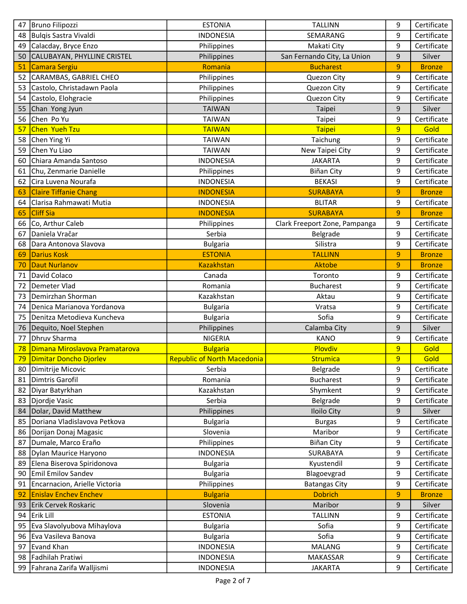| 47 | Bruno Filipozzi                | <b>ESTONIA</b>                     | <b>TALLINN</b>                | 9 | Certificate   |
|----|--------------------------------|------------------------------------|-------------------------------|---|---------------|
| 48 | Bulqis Sastra Vivaldi          | <b>INDONESIA</b>                   | SEMARANG                      | 9 | Certificate   |
| 49 | Calacday, Bryce Enzo           | Philippines                        | Makati City                   | 9 | Certificate   |
| 50 | CALUBAYAN, PHYLLINE CRISTEL    | Philippines                        | San Fernando City, La Union   | 9 | Silver        |
| 51 | <b>Camara Sergiu</b>           | Romania                            | <b>Bucharest</b>              | 9 | <b>Bronze</b> |
| 52 | CARAMBAS, GABRIEL CHEO         | Philippines                        | Quezon City                   | 9 | Certificate   |
| 53 | Castolo, Christadawn Paola     | Philippines                        | Quezon City                   | 9 | Certificate   |
| 54 | Castolo, Elohgracie            | Philippines                        | Quezon City                   | 9 | Certificate   |
| 55 | Chan Yong Jyun                 | <b>TAIWAN</b>                      | Taipei                        | 9 | Silver        |
| 56 | Chen Po Yu                     | <b>TAIWAN</b>                      | Taipei                        | 9 | Certificate   |
| 57 | Chen Yueh Tzu                  | <b>TAIWAN</b>                      | <b>Taipei</b>                 | 9 | Gold          |
| 58 | Chen Ying Yi                   | <b>TAIWAN</b>                      | Taichung                      | 9 | Certificate   |
| 59 | Chen Yu Liao                   | <b>TAIWAN</b>                      | New Taipei City               | 9 | Certificate   |
| 60 | Chiara Amanda Santoso          | <b>INDONESIA</b>                   | <b>JAKARTA</b>                | 9 | Certificate   |
| 61 | Chu, Zenmarie Danielle         | Philippines                        | <b>Biñan City</b>             | 9 | Certificate   |
| 62 | Cira Luvena Nourafa            | <b>INDONESIA</b>                   | <b>BEKASI</b>                 | 9 | Certificate   |
| 63 | <b>Claire Tiffanie Chang</b>   | <b>INDONESIA</b>                   | <b>SURABAYA</b>               | 9 | <b>Bronze</b> |
| 64 | Clarisa Rahmawati Mutia        | <b>INDONESIA</b>                   | <b>BLITAR</b>                 | 9 | Certificate   |
| 65 | <b>Cliff Sia</b>               | <b>INDONESIA</b>                   | <b>SURABAYA</b>               | 9 | <b>Bronze</b> |
| 66 | Co, Arthur Caleb               | Philippines                        | Clark Freeport Zone, Pampanga | 9 | Certificate   |
| 67 | Daniela Vračar                 | Serbia                             | Belgrade                      | 9 | Certificate   |
| 68 | Dara Antonova Slavova          | <b>Bulgaria</b>                    | Silistra                      | 9 | Certificate   |
| 69 | <b>Darius Kosk</b>             | <b>ESTONIA</b>                     | <b>TALLINN</b>                | 9 | <b>Bronze</b> |
| 70 | <b>Daut Nurlanov</b>           | <b>Kazakhstan</b>                  | Aktobe                        | 9 | <b>Bronze</b> |
| 71 | David Colaco                   | Canada                             | Toronto                       | 9 | Certificate   |
| 72 | Demeter Vlad                   | Romania                            | <b>Bucharest</b>              | 9 | Certificate   |
| 73 | Demirzhan Shorman              | Kazakhstan                         | Aktau                         | 9 | Certificate   |
| 74 | Denica Marianova Yordanova     | <b>Bulgaria</b>                    | Vratsa                        | 9 | Certificate   |
| 75 | Denitza Metodieva Kuncheva     | <b>Bulgaria</b>                    | Sofia                         | 9 | Certificate   |
| 76 | Dequito, Noel Stephen          | Philippines                        | Calamba City                  | 9 | Silver        |
| 77 | Dhruv Sharma                   | <b>NIGERIA</b>                     | <b>KANO</b>                   | 9 | Certificate   |
| 78 | Dimana Miroslavova Pramatarova | <b>Bulgaria</b>                    | Plovdiv                       | 9 | Gold          |
| 79 | Dimitar Doncho Djorlev         | <b>Republic of North Macedonia</b> | <b>Strumica</b>               | 9 | Gold          |
| 80 | Dimitrije Micovic              | Serbia                             | Belgrade                      | 9 | Certificate   |
| 81 | Dimtris Garofil                | Romania                            | <b>Bucharest</b>              | 9 | Certificate   |
| 82 | Diyar Batyrkhan                | Kazakhstan                         | Shymkent                      | 9 | Certificate   |
| 83 | Djordje Vasic                  | Serbia                             | Belgrade                      | 9 | Certificate   |
| 84 | Dolar, David Matthew           | Philippines                        | <b>Iloilo City</b>            | 9 | Silver        |
| 85 | Doriana Vladislavova Petkova   | <b>Bulgaria</b>                    | <b>Burgas</b>                 | 9 | Certificate   |
| 86 | Dorijan Donaj Magasic          | Slovenia                           | Maribor                       | 9 | Certificate   |
| 87 | Dumale, Marco Eraño            | Philippines                        | <b>Biñan City</b>             | 9 | Certificate   |
| 88 | Dylan Maurice Haryono          | <b>INDONESIA</b>                   | SURABAYA                      | 9 | Certificate   |
| 89 | Elena Biserova Spiridonova     | <b>Bulgaria</b>                    | Kyustendil                    | 9 | Certificate   |
| 90 | Emil Emilov Sandev             | <b>Bulgaria</b>                    | Blagoevgrad                   | 9 | Certificate   |
| 91 | Encarnacion, Arielle Victoria  | Philippines                        | <b>Batangas City</b>          | 9 | Certificate   |
| 92 | <b>Enislav Enchev Enchev</b>   | <b>Bulgaria</b>                    | <b>Dobrich</b>                | 9 | <b>Bronze</b> |
| 93 | Erik Cervek Roskaric           | Slovenia                           | Maribor                       | 9 | Silver        |
| 94 | Erik Lill                      | <b>ESTONIA</b>                     | <b>TALLINN</b>                | 9 | Certificate   |
| 95 | Eva Slavolyubova Mihaylova     | <b>Bulgaria</b>                    | Sofia                         | 9 | Certificate   |
| 96 | Eva Vasileva Banova            | <b>Bulgaria</b>                    | Sofia                         | 9 | Certificate   |
| 97 | Evand Khan                     | <b>INDONESIA</b>                   | <b>MALANG</b>                 | 9 | Certificate   |
| 98 | Fadhilah Pratiwi               | <b>INDONESIA</b>                   | MAKASSAR                      | 9 | Certificate   |
| 99 | Fahrana Zarifa Walljismi       | <b>INDONESIA</b>                   | <b>JAKARTA</b>                | 9 | Certificate   |
|    |                                |                                    |                               |   |               |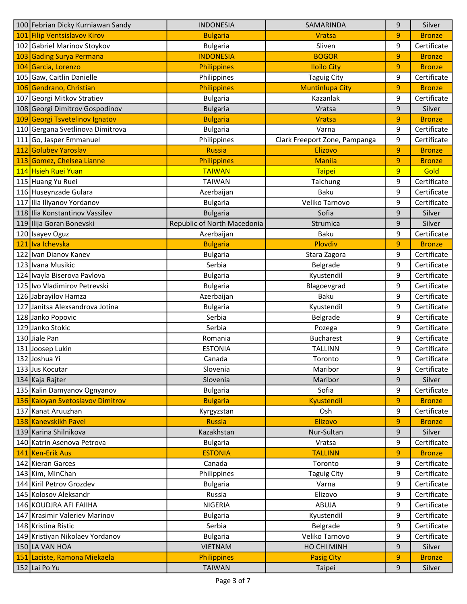| 100 Febrian Dicky Kurniawan Sandy                 | <b>INDONESIA</b>            | SAMARINDA                     | 9      | Silver                  |
|---------------------------------------------------|-----------------------------|-------------------------------|--------|-------------------------|
| 101 Filip Ventsislavov Kirov                      | <b>Bulgaria</b>             | <b>Vratsa</b>                 | 9      | <b>Bronze</b>           |
| 102 Gabriel Marinov Stoykov                       | <b>Bulgaria</b>             | Sliven                        | 9      | Certificate             |
| 103 Gading Surya Permana                          | <b>INDONESIA</b>            | <b>BOGOR</b>                  | 9      | <b>Bronze</b>           |
| 104 Garcia, Lorenzo                               | Philippines                 | <b>Iloilo City</b>            | 9      | <b>Bronze</b>           |
| 105 Gaw, Caitlin Danielle                         | Philippines                 | <b>Taguig City</b>            | 9      | Certificate             |
| 106 Gendrano, Christian                           | <b>Philippines</b>          | <b>Muntinlupa City</b>        | 9      | <b>Bronze</b>           |
| 107 Georgi Mitkov Stratiev                        | <b>Bulgaria</b>             | Kazanlak                      | 9      | Certificate             |
| 108 Georgi Dimitrov Gospodinov                    | <b>Bulgaria</b>             | Vratsa                        | 9      | Silver                  |
| 109 Georgi Tsvetelinov Ignatov                    | <b>Bulgaria</b>             | <b>Vratsa</b>                 | 9      | <b>Bronze</b>           |
| 110 Gergana Svetlinova Dimitrova                  | <b>Bulgaria</b>             | Varna                         | 9      | Certificate             |
| 111 Go, Jasper Emmanuel                           | Philippines                 | Clark Freeport Zone, Pampanga | 9      | Certificate             |
| 112 Golubev Yaroslav                              | <b>Russia</b>               | Elizovo                       | 9      | <b>Bronze</b>           |
| 113 Gomez, Chelsea Lianne                         | <b>Philippines</b>          | <b>Manila</b>                 | 9      | <b>Bronze</b>           |
| 114 Hsieh Ruei Yuan                               | <b>TAIWAN</b>               | <b>Taipei</b>                 | 9      | Gold                    |
| 115 Huang Yu Ruei                                 | <b>TAIWAN</b>               | Taichung                      | 9      | Certificate             |
| 116 Huseynzade Gulara                             | Azerbaijan                  | <b>Baku</b>                   | 9      | Certificate             |
| 117 Ilia Iliyanov Yordanov                        | <b>Bulgaria</b>             | Veliko Tarnovo                | 9      | Certificate             |
| 118 Ilia Konstantinov Vassilev                    | <b>Bulgaria</b>             | Sofia                         | 9      | Silver                  |
| 119 Ilija Goran Bonevski                          | Republic of North Macedonia | Strumica                      | 9      | Silver                  |
| 120 Isayev Oguz                                   | Azerbaijan                  | <b>Baku</b>                   | 9      | Certificate             |
| 121 Iva Ichevska                                  | <b>Bulgaria</b>             | Plovdiv                       | 9      | <b>Bronze</b>           |
| 122 Ivan Dianov Kanev                             | <b>Bulgaria</b>             | Stara Zagora                  | 9      | Certificate             |
| 123 Ivana Musikic                                 | Serbia                      | Belgrade                      | 9      | Certificate             |
| 124 Ivayla Biserova Pavlova                       | <b>Bulgaria</b>             | Kyustendil                    | 9      | Certificate             |
| 125 Ivo Vladimirov Petrevski                      | <b>Bulgaria</b>             | Blagoevgrad                   | 9      | Certificate             |
| 126 Jabrayilov Hamza                              | Azerbaijan                  | <b>Baku</b>                   | 9      | Certificate             |
| 127 Janitsa Alexsandrova Jotina                   | <b>Bulgaria</b>             | Kyustendil                    | 9      | Certificate             |
| 128 Janko Popovic                                 | Serbia                      | Belgrade                      | 9      | Certificate             |
| 129 Janko Stokic                                  | Serbia                      | Pozega                        | 9      | Certificate             |
| 130 Jiale Pan                                     | Romania                     | <b>Bucharest</b>              | 9      | Certificate             |
| 131 Joosep Lukin                                  | <b>ESTONIA</b>              | <b>TALLINN</b>                | 9      | Certificate             |
| 132 Joshua Yi                                     | Canada                      | Toronto                       | 9      | Certificate             |
| 133 Jus Kocutar                                   | Slovenia                    | Maribor                       | 9      | Certificate             |
| 134 Kaja Rajter                                   | Slovenia                    | Maribor                       | 9      | Silver                  |
| 135 Kalin Damyanov Ognyanov                       | <b>Bulgaria</b>             | Sofia                         | 9      | Certificate             |
| 136 Kaloyan Svetoslavov Dimitrov                  | <b>Bulgaria</b>             | <b>Kyustendil</b>             | 9      | <b>Bronze</b>           |
| 137 Kanat Aruuzhan                                | Kyrgyzstan                  | Osh                           | 9      | Certificate             |
| 138 Kanevskikh Pavel                              | <b>Russia</b>               | Elizovo                       | 9      | <b>Bronze</b>           |
| 139 Karina Shilnikova                             | Kazakhstan                  | Nur-Sultan                    | 9      | Silver                  |
| 140 Katrin Asenova Petrova                        | <b>Bulgaria</b>             | Vratsa                        | 9      | Certificate             |
| 141 Ken-Erik Aus                                  | <b>ESTONIA</b>              | <b>TALLINN</b>                | 9      | <b>Bronze</b>           |
| 142 Kieran Garces                                 | Canada                      | Toronto                       | 9      | Certificate             |
| 143 Kim, MinChan                                  | Philippines                 | <b>Taguig City</b>            | 9      | Certificate             |
| 144 Kiril Petrov Grozdev                          | <b>Bulgaria</b>             | Varna                         | 9      | Certificate             |
| 145 Kolosov Aleksandr                             | Russia                      | Elizovo                       | 9      | Certificate             |
| 146 KOUDJRA AFI FAIIHA                            | NIGERIA                     | <b>ABUJA</b>                  | 9      | Certificate             |
|                                                   |                             |                               |        |                         |
| 147 Krasimir Valeriev Marinov                     | <b>Bulgaria</b>             | Kyustendil                    | 9      | Certificate             |
| 148 Kristina Ristic                               | Serbia                      | Belgrade                      | 9<br>9 | Certificate             |
| 149 Kristiyan Nikolaev Yordanov<br>150 LA VAN HOA | <b>Bulgaria</b>             | Veliko Tarnovo                |        | Certificate             |
|                                                   | <b>VIETNAM</b>              | HO CHI MINH                   | 9      | Silver<br><b>Bronze</b> |
| 151 Laciste, Ramona Miekaela                      | Philippines                 | <b>Pasig City</b>             | 9      |                         |
| 152 Lai Po Yu                                     | <b>TAIWAN</b>               | Taipei                        | 9      | Silver                  |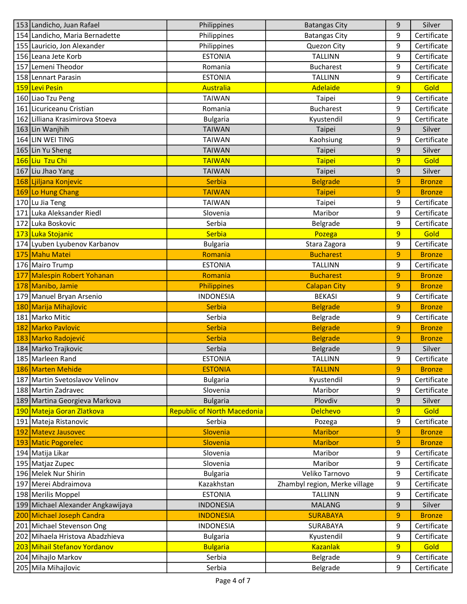| 153 Landicho, Juan Rafael         | Philippines                        | <b>Batangas City</b>          | 9              | Silver        |
|-----------------------------------|------------------------------------|-------------------------------|----------------|---------------|
| 154 Landicho, Maria Bernadette    | Philippines                        | <b>Batangas City</b>          | 9              | Certificate   |
| 155 Lauricio, Jon Alexander       | Philippines                        | Quezon City                   | 9              | Certificate   |
| 156 Leana Jete Korb               | <b>ESTONIA</b>                     | <b>TALLINN</b>                | 9              | Certificate   |
| 157 Lemeni Theodor                | Romania                            | <b>Bucharest</b>              | 9              | Certificate   |
| 158 Lennart Parasin               | <b>ESTONIA</b>                     | <b>TALLINN</b>                | 9              | Certificate   |
| 159 Levi Pesin                    | <b>Australia</b>                   | Adelaide                      | $\overline{9}$ | Gold          |
| 160 Liao Tzu Peng                 | <b>TAIWAN</b>                      | Taipei                        | 9              | Certificate   |
| 161 Licuriceanu Cristian          | Romania                            | <b>Bucharest</b>              | 9              | Certificate   |
| 162 Lilliana Krasimirova Stoeva   | <b>Bulgaria</b>                    | Kyustendil                    | 9              | Certificate   |
| 163 Lin Wanjhih                   | <b>TAIWAN</b>                      | Taipei                        | 9              | Silver        |
| 164 LIN WEI TING                  | <b>TAIWAN</b>                      | Kaohsiung                     | 9              | Certificate   |
| 165 Lin Yu Sheng                  | <b>TAIWAN</b>                      | Taipei                        | 9              | Silver        |
| 166 Liu Tzu Chi                   | <b>TAIWAN</b>                      | Taipei                        | 9              | Gold          |
| 167 Liu Jhao Yang                 | <b>TAIWAN</b>                      | Taipei                        | 9              | Silver        |
| 168 Ljiljana Konjevic             | <b>Serbia</b>                      | <b>Belgrade</b>               | 9              | <b>Bronze</b> |
| 169 Lo Hung Chang                 | <b>TAIWAN</b>                      | <b>Taipei</b>                 | 9              | <b>Bronze</b> |
| 170 Lu Jia Teng                   | <b>TAIWAN</b>                      | Taipei                        | 9              | Certificate   |
| 171 Luka Aleksander Riedl         | Slovenia                           | Maribor                       | 9              | Certificate   |
| 172 Luka Boskovic                 | Serbia                             | Belgrade                      | 9              | Certificate   |
| 173 Luka Stojanic                 | <b>Serbia</b>                      | Pozega                        | 9              | Gold          |
| 174 Lyuben Lyubenov Karbanov      | <b>Bulgaria</b>                    | Stara Zagora                  | 9              | Certificate   |
| 175 Mahu Matei                    | Romania                            | <b>Bucharest</b>              | 9              | <b>Bronze</b> |
| 176 Mairo Trump                   | <b>ESTONIA</b>                     | <b>TALLINN</b>                | 9              | Certificate   |
| 177 Malespin Robert Yohanan       | Romania                            | <b>Bucharest</b>              | 9              | <b>Bronze</b> |
| 178 Manibo, Jamie                 | <b>Philippines</b>                 | <b>Calapan City</b>           | 9              | <b>Bronze</b> |
| 179 Manuel Bryan Arsenio          | <b>INDONESIA</b>                   | <b>BEKASI</b>                 | 9              | Certificate   |
| 180 Marija Mihajlovic             | <b>Serbia</b>                      | <b>Belgrade</b>               | 9              | <b>Bronze</b> |
| 181 Marko Mitic                   | Serbia                             | Belgrade                      | 9              | Certificate   |
| 182 Marko Pavlovic                | <b>Serbia</b>                      | <b>Belgrade</b>               | 9              | <b>Bronze</b> |
| 183 Marko Radojević               | <b>Serbia</b>                      | <b>Belgrade</b>               | 9              | <b>Bronze</b> |
| 184 Marko Trajkovic               | Serbia                             | Belgrade                      | 9              | Silver        |
| 185 Marleen Rand                  | <b>ESTONIA</b>                     | <b>TALLINN</b>                | 9              | Certificate   |
| 186 Marten Mehide                 | <b>ESTONIA</b>                     | <b>TALLINN</b>                | 9              | <b>Bronze</b> |
| 187 Martin Svetoslavov Velinov    | <b>Bulgaria</b>                    | Kyustendil                    | 9              | Certificate   |
| 188 Martin Zadravec               | Slovenia                           | Maribor                       | 9              | Certificate   |
| 189 Martina Georgieva Markova     | <b>Bulgaria</b>                    | Plovdiv                       | 9              | Silver        |
| 190 Mateja Goran Zlatkova         | <b>Republic of North Macedonia</b> | <b>Delchevo</b>               | 9              | Gold          |
| 191 Mateja Ristanovic             | Serbia                             | Pozega                        | 9              | Certificate   |
| 192 Matevz Jausovec               | Slovenia                           | <b>Maribor</b>                | 9              | <b>Bronze</b> |
| 193 Matic Pogorelec               | Slovenia                           | <b>Maribor</b>                | 9              | <b>Bronze</b> |
| 194 Matija Likar                  | Slovenia                           | Maribor                       | 9              | Certificate   |
| 195 Matjaz Zupec                  | Slovenia                           | Maribor                       | 9              | Certificate   |
| 196 Melek Nur Shirin              | <b>Bulgaria</b>                    | Veliko Tarnovo                | 9              | Certificate   |
| 197 Merei Abdraimova              | Kazakhstan                         | Zhambyl region, Merke village | 9              | Certificate   |
| 198 Merilis Moppel                | <b>ESTONIA</b>                     | <b>TALLINN</b>                | 9              | Certificate   |
| 199 Michael Alexander Angkawijaya | <b>INDONESIA</b>                   | <b>MALANG</b>                 | 9              | Silver        |
| 200 Michael Joseph Candra         | <b>INDONESIA</b>                   | <b>SURABAYA</b>               | 9              | <b>Bronze</b> |
| 201 Michael Stevenson Ong         | <b>INDONESIA</b>                   | SURABAYA                      | 9              | Certificate   |
| 202 Mihaela Hristova Abadzhieva   | <b>Bulgaria</b>                    | Kyustendil                    | 9              | Certificate   |
| 203 Mihail Stefanov Yordanov      | <b>Bulgaria</b>                    | <b>Kazanlak</b>               | $\overline{9}$ | Gold          |
| 204 Mihajlo Markov                | Serbia                             | Belgrade                      | 9              | Certificate   |
| 205 Mila Mihajlovic               | Serbia                             | Belgrade                      | 9              | Certificate   |
|                                   |                                    |                               |                |               |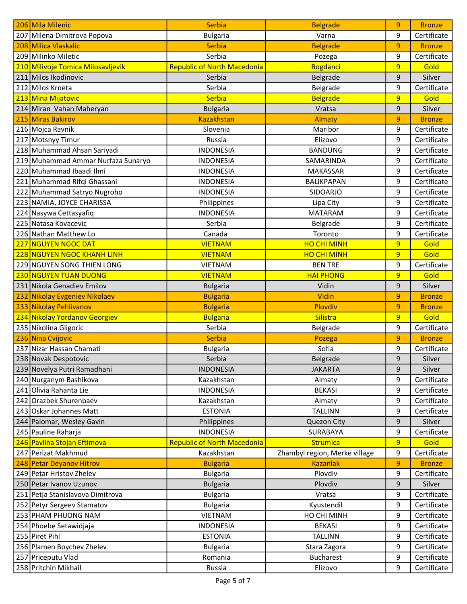|     | 206 Mila Milenic                   | <b>Serbia</b>                      | <b>Belgrade</b>               | 9              | <b>Bronze</b> |
|-----|------------------------------------|------------------------------------|-------------------------------|----------------|---------------|
|     | 207 Milena Dimitrova Popova        | <b>Bulgaria</b>                    | Varna                         | 9              | Certificate   |
|     | 208 Milica Vlaskalic               | <b>Serbia</b>                      | <b>Belgrade</b>               | 9              | <b>Bronze</b> |
|     | 209 Milinko Miletic                | Serbia                             | Pozega                        | 9              | Certificate   |
| 210 | Milivoje Tomica Milosavljevik      | <b>Republic of North Macedonia</b> | <b>Bogdanci</b>               | 9              | Gold          |
| 211 | Milos Ikodinovic                   | Serbia                             | Belgrade                      | 9              | Silver        |
|     | 212 Milos Krneta                   | Serbia                             | Belgrade                      | 9              | Certificate   |
|     | 213 Mina Mijatovic                 | Serbia                             | <b>Belgrade</b>               | 9              | Gold          |
|     | 214 Miran Vahan Maheryan           | <b>Bulgaria</b>                    | Vratsa                        | 9              | Silver        |
| 215 | Miras Bakirov                      | <b>Kazakhstan</b>                  | <b>Almaty</b>                 | 9              | <b>Bronze</b> |
|     | 216 Mojca Ravnik                   | Slovenia                           | Maribor                       | 9              | Certificate   |
| 217 | Motsnyy Timur                      | Russia                             | Elizovo                       | 9              | Certificate   |
|     | 218 Muhammad Ahsan Sariyadi        | <b>INDONESIA</b>                   | <b>BANDUNG</b>                | 9              | Certificate   |
|     | 219 Muhammad Ammar Nurfaza Sunaryo | <b>INDONESIA</b>                   | SAMARINDA                     | 9              | Certificate   |
|     | 220 Muhammad Ibaadi Ilmi           | <b>INDONESIA</b>                   | <b>MAKASSAR</b>               | 9              | Certificate   |
|     | 221 Muhammad Rifqi Ghassani        | <b>INDONESIA</b>                   | <b>BALIKPAPAN</b>             | 9              | Certificate   |
|     | 222 Muhammad Satryo Nugroho        | <b>INDONESIA</b>                   | <b>SIDOARJO</b>               | 9              | Certificate   |
|     | 223 NAMIA, JOYCE CHARISSA          | Philippines                        | Lipa City                     | 9              | Certificate   |
|     | 224 Nasywa Cettasyafiq             | <b>INDONESIA</b>                   | <b>MATARAM</b>                | 9              | Certificate   |
|     | 225 Natasa Kovacevic               | Serbia                             | Belgrade                      | 9              | Certificate   |
|     | 226 Nathan Matthew Lo              | Canada                             | Toronto                       | 9              | Certificate   |
| 227 | <b>NGUYEN NGOC DAT</b>             | <b>VIETNAM</b>                     | <b>HO CHI MINH</b>            | $\overline{9}$ | Gold          |
|     | <u>228 NGUYEN NGOC KHANH LINH</u>  | <b>VIETNAM</b>                     | <b>HO CHI MINH</b>            | $\overline{9}$ | Gold          |
|     | 229 NGUYEN SONG THIEN LONG         | <b>VIETNAM</b>                     | <b>BEN TRE</b>                | 9              | Certificate   |
|     | 230 NGUYEN TUAN DUONG              | <b>VIETNAM</b>                     | <b>HAI PHONG</b>              | $\overline{9}$ | Gold          |
|     | 231 Nikola Genadiev Emilov         | <b>Bulgaria</b>                    | Vidin                         | 9              | Silver        |
| 232 | Nikolay Evgeniev Nikolaev          | <b>Bulgaria</b>                    | Vidin                         | 9              | <b>Bronze</b> |
|     | 233 Nikolay Pehlivanov             | <b>Bulgaria</b>                    | Plovdiv                       | 9              | <b>Bronze</b> |
|     | 234 Nikolay Yordanov Georgiev      | <b>Bulgaria</b>                    | Silistra                      | 9              | Gold          |
|     | 235 Nikolina Gligoric              | Serbia                             | Belgrade                      | 9              | Certificate   |
|     | 236 Nina Cvijovic                  | <b>Serbia</b>                      | Pozega                        | 9              | <b>Bronze</b> |
|     | 237 Nizar Hassan Chamati           | <b>Bulgaria</b>                    | Sofia                         | 9              | Certificate   |
|     | 238 Novak Despotovic               | Serbia                             | Belgrade                      | 9              | Silver        |
|     | 239 Novelya Putri Ramadhani        | <b>INDONESIA</b>                   | <b>JAKARTA</b>                | 9              | Silver        |
|     | 240 Nurganym Bashikova             | Kazakhstan                         | Almaty                        | 9              | Certificate   |
|     | 241 Olivia Rahanta Lie             | <b>INDONESIA</b>                   | <b>BEKASI</b>                 | 9              | Certificate   |
|     | 242 Orazbek Shurenbaev             | Kazakhstan                         | Almaty                        | 9              | Certificate   |
|     | 243 Oskar Johannes Matt            | <b>ESTONIA</b>                     | <b>TALLINN</b>                | 9              | Certificate   |
|     | 244 Palomar, Wesley Gavin          | Philippines                        | Quezon City                   | 9              | Silver        |
|     | 245 Pauline Raharja                | <b>INDONESIA</b>                   | SURABAYA                      | 9              | Certificate   |
|     | 246 Pavlina Stojan Eftimova        | <b>Republic of North Macedonia</b> | <b>Strumica</b>               | 9              | Gold          |
|     | 247 Perizat Makhmud                | Kazakhstan                         | Zhambyl region, Merke village | 9              | Certificate   |
|     | 248 Petar Deyanov Hitrov           | <b>Bulgaria</b>                    | <b>Kazanlak</b>               | 9              | <b>Bronze</b> |
|     | 249 Petar Hristov Zhelev           | <b>Bulgaria</b>                    | Plovdiv                       | 9              | Certificate   |
|     | 250 Petar Ivanov Uzunov            | <b>Bulgaria</b>                    | Plovdiv                       | 9              | Silver        |
|     | 251 Petja Stanislavova Dimitrova   | <b>Bulgaria</b>                    | Vratsa                        | 9              | Certificate   |
|     | 252 Petyr Sergeev Stamatov         | <b>Bulgaria</b>                    | Kyustendil                    | 9              | Certificate   |
|     | 253 PHAM PHUONG NAM                | <b>VIETNAM</b>                     | HO CHI MINH                   | 9              | Certificate   |
|     | 254 Phoebe Setawidjaja             | <b>INDONESIA</b>                   | <b>BEKASI</b>                 | 9              | Certificate   |
|     | 255 Piret Pihl                     | <b>ESTONIA</b>                     | <b>TALLINN</b>                | 9              | Certificate   |
|     | 256 Plamen Boychev Zhelev          | <b>Bulgaria</b>                    | Stara Zagora                  | 9              | Certificate   |
|     | 257 Priceputu Vlad                 | Romania                            | <b>Bucharest</b>              | 9              | Certificate   |
|     | 258 Pritchin Mikhail               | Russia                             | Elizovo                       | 9              | Certificate   |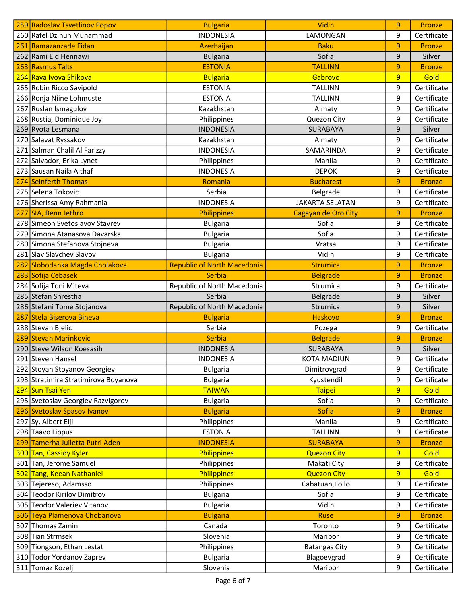|     | 259 Radoslav Tsvetlinov Popov                       | <b>Bulgaria</b>                    | Vidin                  | 9      | <b>Bronze</b> |
|-----|-----------------------------------------------------|------------------------------------|------------------------|--------|---------------|
|     | 260 Rafel Dzinun Muhammad                           | <b>INDONESIA</b>                   | LAMONGAN               | 9      | Certificate   |
| 261 | Ramazanzade Fidan                                   | Azerbaijan                         | <b>Baku</b>            | 9      | <b>Bronze</b> |
|     | 262 Rami Eid Hennawi                                | <b>Bulgaria</b>                    | Sofia                  | 9      | Silver        |
|     | 263 Rasmus Talts                                    | <b>ESTONIA</b>                     | <b>TALLINN</b>         | 9      | <b>Bronze</b> |
|     | <mark>264 Raya Ivova Shikova</mark>                 | <b>Bulgaria</b>                    | Gabrovo                | 9      | Gold          |
|     | 265 Robin Ricco Savipold                            | <b>ESTONIA</b>                     | <b>TALLINN</b>         | 9      | Certificate   |
|     | 266 Ronja Niine Lohmuste                            | <b>ESTONIA</b>                     | <b>TALLINN</b>         | 9      | Certificate   |
|     | 267 Ruslan Ismagulov                                | Kazakhstan                         | Almaty                 | 9      | Certificate   |
|     | 268 Rustia, Dominique Joy                           | Philippines                        | Quezon City            | 9      | Certificate   |
|     | 269 Ryota Lesmana                                   | <b>INDONESIA</b>                   | <b>SURABAYA</b>        | 9      | Silver        |
|     | 270 Salavat Ryssakov                                | Kazakhstan                         | Almaty                 | 9      | Certificate   |
|     | 271 Salman Chalil Al Farizzy                        | <b>INDONESIA</b>                   | SAMARINDA              | 9      | Certificate   |
|     | 272 Salvador, Erika Lynet                           | Philippines                        | Manila                 | 9      | Certificate   |
|     | 273 Sausan Naila Althaf                             | <b>INDONESIA</b>                   | <b>DEPOK</b>           | 9      | Certificate   |
|     | 274 Seinferth Thomas                                | Romania                            | <b>Bucharest</b>       | 9      | <b>Bronze</b> |
|     | 275 Selena Tokovic                                  | Serbia                             | Belgrade               | 9      | Certificate   |
|     | 276 Sherissa Amy Rahmania                           | <b>INDONESIA</b>                   | <b>JAKARTA SELATAN</b> | 9      | Certificate   |
| 277 | SIA, Benn Jethro                                    | Philippines                        | Cagayan de Oro City    | 9      | <b>Bronze</b> |
|     | 278 Simeon Svetoslavov Stavrev                      | <b>Bulgaria</b>                    | Sofia                  | 9      | Certificate   |
|     | 279 Simona Atanasova Davarska                       | <b>Bulgaria</b>                    | Sofia                  | 9      | Certificate   |
|     | 280 Simona Stefanova Stojneva                       | <b>Bulgaria</b>                    | Vratsa                 | 9      | Certificate   |
|     | 281 Slav Slavchev Slavov                            | <b>Bulgaria</b>                    | Vidin                  | 9      | Certificate   |
| 282 | Slobodanka Magda Cholakova                          | <b>Republic of North Macedonia</b> | <b>Strumica</b>        | 9      | <b>Bronze</b> |
|     | 283 Sofija Cebasek                                  | <b>Serbia</b>                      | <b>Belgrade</b>        | 9      | <b>Bronze</b> |
|     | 284 Sofija Toni Miteva                              | Republic of North Macedonia        | Strumica               | 9      | Certificate   |
|     | 285 Stefan Shrestha                                 | Serbia                             | Belgrade               | 9      | Silver        |
|     | 286 Stefani Tome Stojanova                          | Republic of North Macedonia        | Strumica               | 9      | Silver        |
| 287 | Stela Biserova Bineva                               | <b>Bulgaria</b>                    | <b>Haskovo</b>         | 9      | <b>Bronze</b> |
|     | 288 Stevan Bjelic                                   | Serbia                             | Pozega                 | 9      | Certificate   |
|     | 289 Stevan Marinkovic                               | <b>Serbia</b>                      | <b>Belgrade</b>        | 9      | <b>Bronze</b> |
|     | 290 Steve Wilson Koesasih                           | <b>INDONESIA</b>                   | SURABAYA               | 9      | Silver        |
|     | 291 Steven Hansel                                   | <b>INDONESIA</b>                   | <b>KOTA MADIUN</b>     | 9      | Certificate   |
|     | 292 Stoyan Stoyanov Georgiev                        | <b>Bulgaria</b>                    | Dimitrovgrad           | 9      | Certificate   |
|     | 293 Stratimira Stratimirova Boyanova                | <b>Bulgaria</b>                    | Kyustendil             | 9      | Certificate   |
|     | 294 Sun Tsai Yen                                    | <b>TAIWAN</b>                      | <b>Taipei</b>          | 9      | Gold          |
|     | 295 Svetoslav Georgiev Razvigorov                   | <b>Bulgaria</b>                    | Sofia                  | 9      | Certificate   |
|     |                                                     |                                    | <b>Sofia</b>           |        | <b>Bronze</b> |
|     | 296 Svetoslav Spasov Ivanov                         | <b>Bulgaria</b>                    | Manila                 | 9<br>9 |               |
| 297 | Sy, Albert Eiji                                     | Philippines                        |                        |        | Certificate   |
|     | 298 Taavo Lippus<br>299 Tamerha Juiletta Putri Aden | <b>ESTONIA</b>                     | <b>TALLINN</b>         | 9      | Certificate   |
|     |                                                     | <b>INDONESIA</b>                   | <b>SURABAYA</b>        | 9      | <b>Bronze</b> |
|     | 300 Tan, Cassidy Kyler                              | <b>Philippines</b>                 | <b>Quezon City</b>     | 9      | Gold          |
|     | 301 Tan, Jerome Samuel                              | Philippines                        | Makati City            | 9      | Certificate   |
|     | 302 Tang, Keean Nathaniel                           | Philippines                        | <b>Quezon City</b>     | 9      | Gold          |
|     | 303 Tejereso, Adamsso                               | Philippines                        | Cabatuan, Iloilo       | 9      | Certificate   |
|     | 304 Teodor Kirilov Dimitrov                         | <b>Bulgaria</b>                    | Sofia                  | 9      | Certificate   |
|     | 305 Teodor Valeriev Vitanov                         | <b>Bulgaria</b>                    | Vidin                  | 9      | Certificate   |
|     | 306 Teya Plamenova Chobanova                        | <b>Bulgaria</b>                    | <b>Ruse</b>            | 9      | <b>Bronze</b> |
|     | 307 Thomas Zamin                                    | Canada                             | Toronto                | 9      | Certificate   |
|     | 308 Tian Strmsek                                    | Slovenia                           | Maribor                | 9      | Certificate   |
|     | 309 Tiongson, Ethan Lestat                          | Philippines                        | <b>Batangas City</b>   | 9      | Certificate   |
|     | 310 Todor Yordanov Zaprev                           | <b>Bulgaria</b>                    | Blagoevgrad            | 9      | Certificate   |
|     | 311 Tomaz Kozelj                                    | Slovenia                           | Maribor                | 9      | Certificate   |